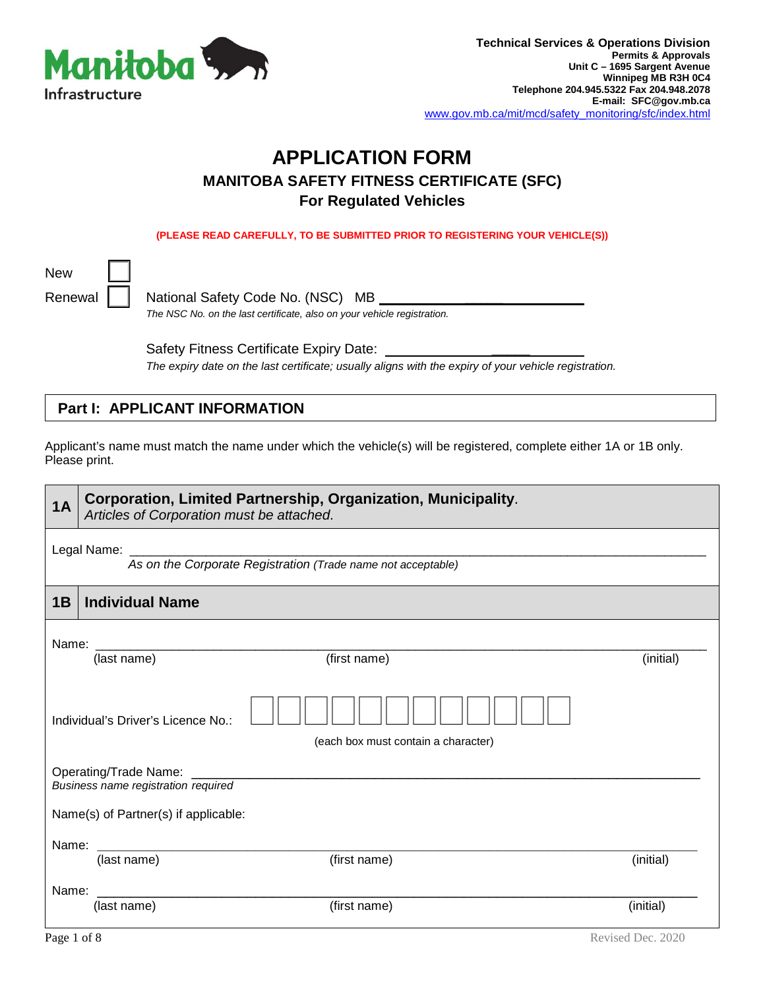

# **APPLICATION FORM MANITOBA SAFETY FITNESS CERTIFICATE (SFC) For Regulated Vehicles**

**(PLEASE READ CAREFULLY, TO BE SUBMITTED PRIOR TO REGISTERING YOUR VEHICLE(S))**

New

Renewal | | National Safety Code No. (NSC) MB *The NSC No. on the last certificate, also on your vehicle registration.*

> Safety Fitness Certificate Expiry Date: *The expiry date on the last certificate; usually aligns with the expiry of your vehicle registration.*

### **Part I: APPLICANT INFORMATION**

Applicant's name must match the name under which the vehicle(s) will be registered, complete either 1A or 1B only. Please print.

| 1A                                                               | Corporation, Limited Partnership, Organization, Municipality.<br>Articles of Corporation must be attached. |                                                              |           |  |  |  |
|------------------------------------------------------------------|------------------------------------------------------------------------------------------------------------|--------------------------------------------------------------|-----------|--|--|--|
|                                                                  | Legal Name:                                                                                                | As on the Corporate Registration (Trade name not acceptable) |           |  |  |  |
| 1B                                                               | <b>Individual Name</b>                                                                                     |                                                              |           |  |  |  |
| Name:                                                            | (last name)                                                                                                | (first name)                                                 | (initial) |  |  |  |
|                                                                  | Individual's Driver's Licence No.:<br>(each box must contain a character)                                  |                                                              |           |  |  |  |
| Operating/Trade Name: ___<br>Business name registration required |                                                                                                            |                                                              |           |  |  |  |
| Name(s) of Partner(s) if applicable:                             |                                                                                                            |                                                              |           |  |  |  |
| Name:                                                            | (last name)                                                                                                | (first name)                                                 | (initial) |  |  |  |
| Name:                                                            | (last name)                                                                                                | (first name)                                                 | (initial) |  |  |  |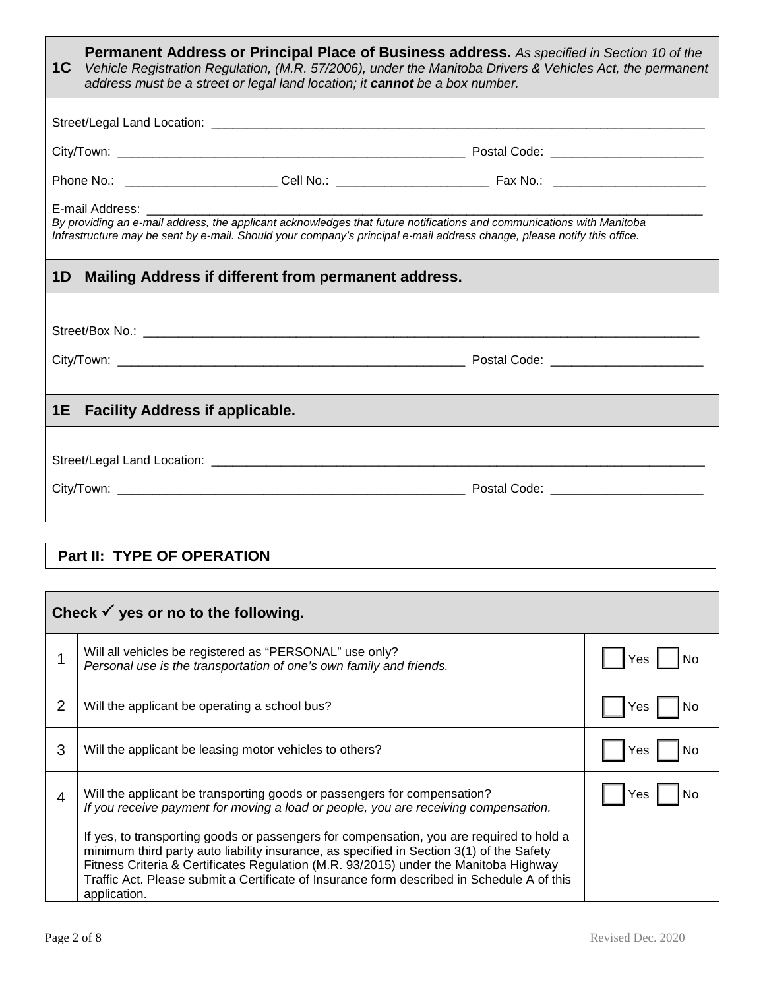| 1 <sup>C</sup> | <b>Permanent Address or Principal Place of Business address.</b> As specified in Section 10 of the<br>Vehicle Registration Regulation, (M.R. 57/2006), under the Manitoba Drivers & Vehicles Act, the permanent<br>address must be a street or legal land location; it cannot be a box number. |  |  |  |  |
|----------------|------------------------------------------------------------------------------------------------------------------------------------------------------------------------------------------------------------------------------------------------------------------------------------------------|--|--|--|--|
|                |                                                                                                                                                                                                                                                                                                |  |  |  |  |
|                |                                                                                                                                                                                                                                                                                                |  |  |  |  |
|                |                                                                                                                                                                                                                                                                                                |  |  |  |  |
|                | E-mail Address: __________<br>By providing an e-mail address, the applicant acknowledges that future notifications and communications with Manitoba<br>Infrastructure may be sent by e-mail. Should your company's principal e-mail address change, please notify this office.                 |  |  |  |  |
| 1 <sub>D</sub> | Mailing Address if different from permanent address.                                                                                                                                                                                                                                           |  |  |  |  |
|                |                                                                                                                                                                                                                                                                                                |  |  |  |  |
| 1E             | <b>Facility Address if applicable.</b>                                                                                                                                                                                                                                                         |  |  |  |  |
|                |                                                                                                                                                                                                                                                                                                |  |  |  |  |
|                | Part II: TYPE OF OPERATION                                                                                                                                                                                                                                                                     |  |  |  |  |

|   | Check $\checkmark$ yes or no to the following.                                                                                                                                                                                                                                                                                                                                             |     |  |  |  |  |
|---|--------------------------------------------------------------------------------------------------------------------------------------------------------------------------------------------------------------------------------------------------------------------------------------------------------------------------------------------------------------------------------------------|-----|--|--|--|--|
|   | Will all vehicles be registered as "PERSONAL" use only?<br>Personal use is the transportation of one's own family and friends.                                                                                                                                                                                                                                                             | Yes |  |  |  |  |
| 2 | Will the applicant be operating a school bus?                                                                                                                                                                                                                                                                                                                                              | Yes |  |  |  |  |
| 3 | Will the applicant be leasing motor vehicles to others?                                                                                                                                                                                                                                                                                                                                    | Yes |  |  |  |  |
| 4 | Will the applicant be transporting goods or passengers for compensation?<br>If you receive payment for moving a load or people, you are receiving compensation.                                                                                                                                                                                                                            | Yes |  |  |  |  |
|   | If yes, to transporting goods or passengers for compensation, you are required to hold a<br>minimum third party auto liability insurance, as specified in Section 3(1) of the Safety<br>Fitness Criteria & Certificates Regulation (M.R. 93/2015) under the Manitoba Highway<br>Traffic Act. Please submit a Certificate of Insurance form described in Schedule A of this<br>application. |     |  |  |  |  |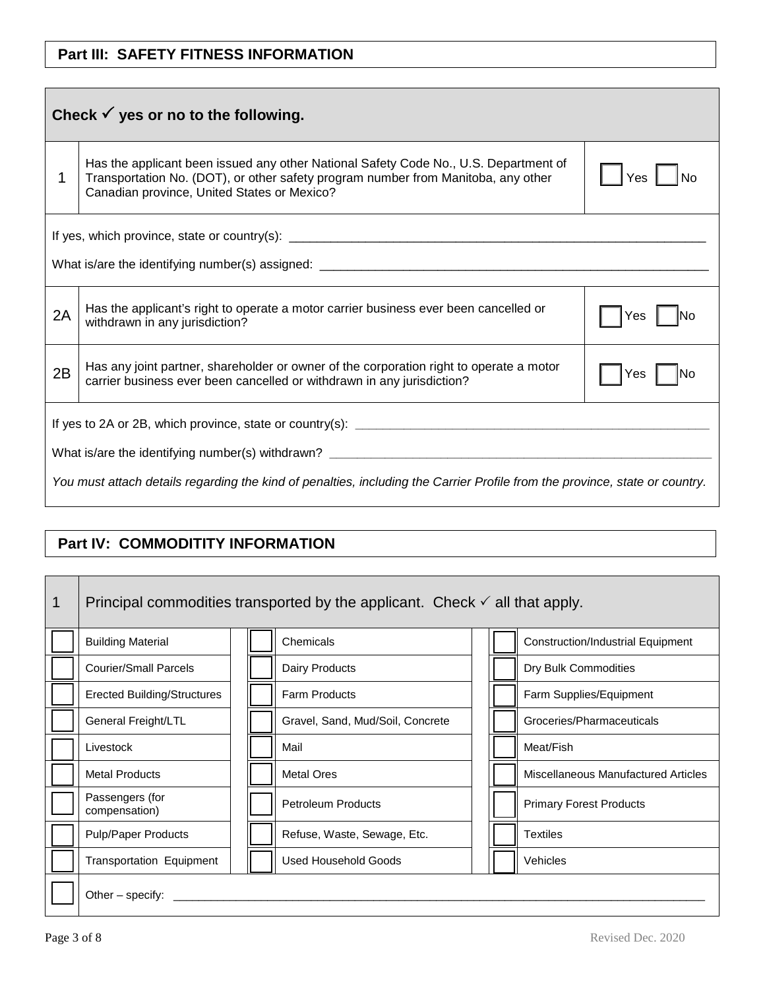## **Part III: SAFETY FITNESS INFORMATION**

| Check $\checkmark$ yes or no to the following.                                                                              |                                                                                                                                                                                                                          |     |  |  |  |  |
|-----------------------------------------------------------------------------------------------------------------------------|--------------------------------------------------------------------------------------------------------------------------------------------------------------------------------------------------------------------------|-----|--|--|--|--|
|                                                                                                                             | Has the applicant been issued any other National Safety Code No., U.S. Department of<br>Transportation No. (DOT), or other safety program number from Manitoba, any other<br>Canadian province, United States or Mexico? | Yes |  |  |  |  |
|                                                                                                                             |                                                                                                                                                                                                                          |     |  |  |  |  |
| 2A                                                                                                                          | Has the applicant's right to operate a motor carrier business ever been cancelled or<br>withdrawn in any jurisdiction?                                                                                                   |     |  |  |  |  |
| 2B                                                                                                                          | Has any joint partner, shareholder or owner of the corporation right to operate a motor<br>carrier business ever been cancelled or withdrawn in any jurisdiction?                                                        | Yes |  |  |  |  |
| You must attach details regarding the kind of penalties, including the Carrier Profile from the province, state or country. |                                                                                                                                                                                                                          |     |  |  |  |  |
|                                                                                                                             |                                                                                                                                                                                                                          |     |  |  |  |  |

## **Part IV: COMMODITITY INFORMATION**

| 1 | Principal commodities transported by the applicant. Check $\checkmark$ all that apply. |  |  |                                  |  |  |                                          |
|---|----------------------------------------------------------------------------------------|--|--|----------------------------------|--|--|------------------------------------------|
|   | <b>Building Material</b>                                                               |  |  | Chemicals                        |  |  | <b>Construction/Industrial Equipment</b> |
|   | <b>Courier/Small Parcels</b>                                                           |  |  | Dairy Products                   |  |  | Dry Bulk Commodities                     |
|   | <b>Erected Building/Structures</b>                                                     |  |  | <b>Farm Products</b>             |  |  | Farm Supplies/Equipment                  |
|   | General Freight/LTL                                                                    |  |  | Gravel, Sand, Mud/Soil, Concrete |  |  | Groceries/Pharmaceuticals                |
|   | Livestock                                                                              |  |  | Mail                             |  |  | Meat/Fish                                |
|   | <b>Metal Products</b>                                                                  |  |  | <b>Metal Ores</b>                |  |  | Miscellaneous Manufactured Articles      |
|   | Passengers (for<br>compensation)                                                       |  |  | <b>Petroleum Products</b>        |  |  | <b>Primary Forest Products</b>           |
|   | <b>Pulp/Paper Products</b>                                                             |  |  | Refuse, Waste, Sewage, Etc.      |  |  | <b>Textiles</b>                          |
|   | Used Household Goods<br><b>Transportation Equipment</b>                                |  |  |                                  |  |  | Vehicles                                 |
|   | Other – specify: $\frac{1}{1}$                                                         |  |  |                                  |  |  |                                          |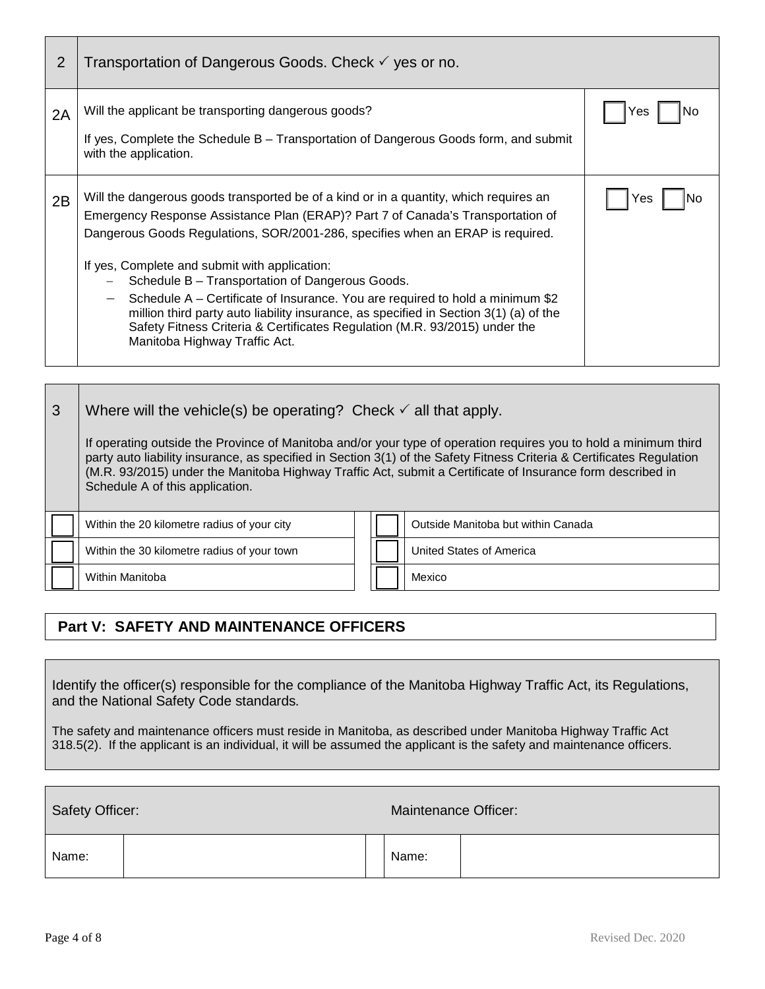| 2  | Transportation of Dangerous Goods. Check √ yes or no.                                                                                                                                                                                                                                                                                                                                                                                                                                                                                                                                                                                                                               |      |
|----|-------------------------------------------------------------------------------------------------------------------------------------------------------------------------------------------------------------------------------------------------------------------------------------------------------------------------------------------------------------------------------------------------------------------------------------------------------------------------------------------------------------------------------------------------------------------------------------------------------------------------------------------------------------------------------------|------|
| 2A | Will the applicant be transporting dangerous goods?<br>If yes, Complete the Schedule B – Transportation of Dangerous Goods form, and submit<br>with the application.                                                                                                                                                                                                                                                                                                                                                                                                                                                                                                                | res  |
| 2B | Will the dangerous goods transported be of a kind or in a quantity, which requires an<br>Emergency Response Assistance Plan (ERAP)? Part 7 of Canada's Transportation of<br>Dangerous Goods Regulations, SOR/2001-286, specifies when an ERAP is required.<br>If yes, Complete and submit with application:<br>Schedule B - Transportation of Dangerous Goods.<br>Schedule A – Certificate of Insurance. You are required to hold a minimum \$2<br>$\overline{\phantom{m}}$<br>million third party auto liability insurance, as specified in Section 3(1) (a) of the<br>Safety Fitness Criteria & Certificates Regulation (M.R. 93/2015) under the<br>Manitoba Highway Traffic Act. | res. |

| 3 | Where will the vehicle(s) be operating? Check $\checkmark$ all that apply.                                                                                                                                                                                                                                                                                                                 |  |  |                                    |  |  |  |
|---|--------------------------------------------------------------------------------------------------------------------------------------------------------------------------------------------------------------------------------------------------------------------------------------------------------------------------------------------------------------------------------------------|--|--|------------------------------------|--|--|--|
|   | If operating outside the Province of Manitoba and/or your type of operation requires you to hold a minimum third<br>party auto liability insurance, as specified in Section 3(1) of the Safety Fitness Criteria & Certificates Regulation<br>(M.R. 93/2015) under the Manitoba Highway Traffic Act, submit a Certificate of Insurance form described in<br>Schedule A of this application. |  |  |                                    |  |  |  |
|   | Within the 20 kilometre radius of your city                                                                                                                                                                                                                                                                                                                                                |  |  | Outside Manitoba but within Canada |  |  |  |
|   | Within the 30 kilometre radius of your town                                                                                                                                                                                                                                                                                                                                                |  |  | United States of America           |  |  |  |
|   | Within Manitoba                                                                                                                                                                                                                                                                                                                                                                            |  |  | Mexico                             |  |  |  |

## **Part V: SAFETY AND MAINTENANCE OFFICERS**

Identify the officer(s) responsible for the compliance of the Manitoba Highway Traffic Act, its Regulations, and the National Safety Code standards*.* 

The safety and maintenance officers must reside in Manitoba, as described under Manitoba Highway Traffic Act 318.5(2). If the applicant is an individual, it will be assumed the applicant is the safety and maintenance officers.

| Safety Officer: |  |  | Maintenance Officer: |  |
|-----------------|--|--|----------------------|--|
| Name:           |  |  | Name:                |  |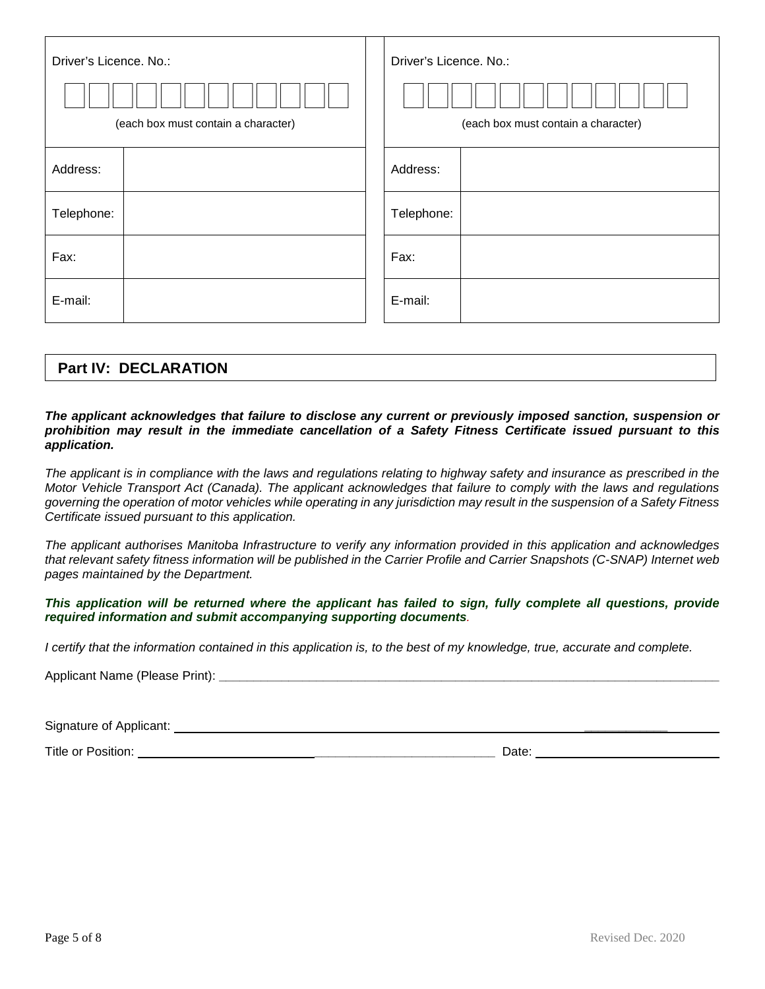| Driver's Licence. No.: |                                     |  | Driver's Licence. No.:              |
|------------------------|-------------------------------------|--|-------------------------------------|
|                        |                                     |  |                                     |
|                        | (each box must contain a character) |  | (each box must contain a character) |
| Address:               |                                     |  | Address:                            |
| Telephone:             |                                     |  | Telephone:                          |
| Fax:                   |                                     |  | Fax:                                |
| E-mail:                |                                     |  | E-mail:                             |

### **Part IV: DECLARATION**

#### *The applicant acknowledges that failure to disclose any current or previously imposed sanction, suspension or prohibition may result in the immediate cancellation of a Safety Fitness Certificate issued pursuant to this application.*

*The applicant is in compliance with the laws and regulations relating to highway safety and insurance as prescribed in the Motor Vehicle Transport Act (Canada). The applicant acknowledges that failure to comply with the laws and regulations governing the operation of motor vehicles while operating in any jurisdiction may result in the suspension of a Safety Fitness Certificate issued pursuant to this application.*

*The applicant authorises Manitoba Infrastructure to verify any information provided in this application and acknowledges that relevant safety fitness information will be published in the Carrier Profile and Carrier Snapshots (C-SNAP) Internet web pages maintained by the Department.*

This application will be returned where the applicant has failed to sign, fully complete all questions, provide *required information and submit accompanying supporting documents.*

*I* certify that the information contained in this application is, to the best of my knowledge, true, accurate and complete.

Applicant Name (Please Print):

Signature of Applicant: **\_\_\_\_\_\_\_\_\_\_\_\_** 

Title or Position: **\_\_\_\_\_\_\_\_\_\_\_\_\_\_\_\_\_\_\_\_\_\_\_\_\_\_** Date: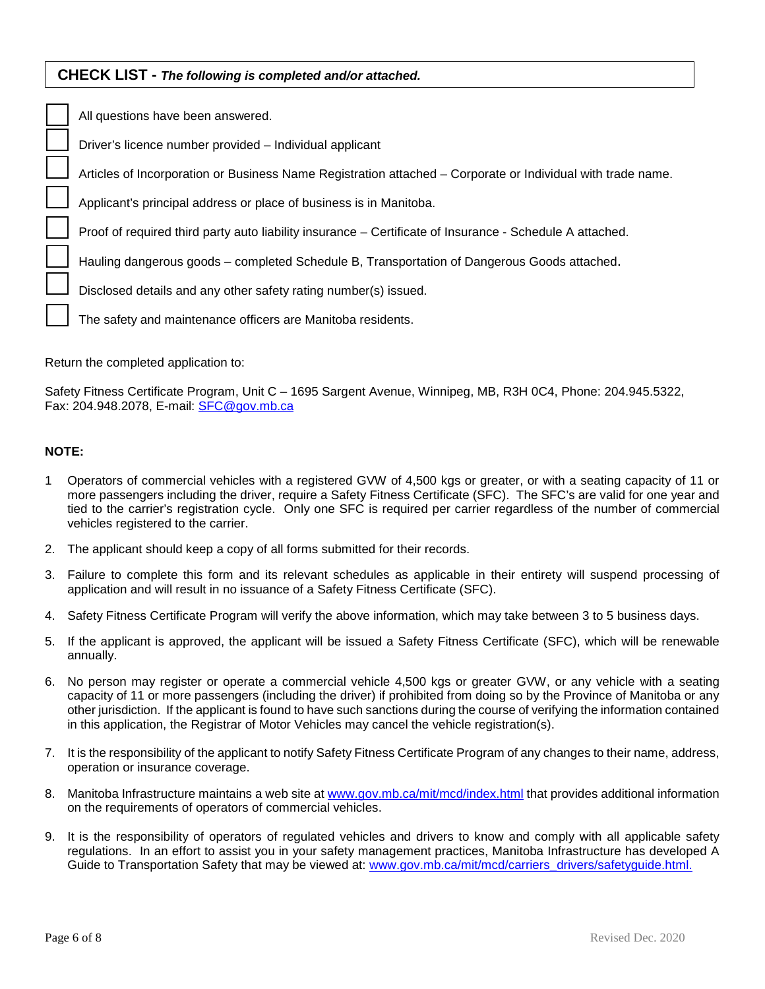### **CHECK LIST -** *The following is completed and/or attached.*

| All questions have been answered.                                                                           |
|-------------------------------------------------------------------------------------------------------------|
| Driver's licence number provided - Individual applicant                                                     |
| Articles of Incorporation or Business Name Registration attached - Corporate or Individual with trade name. |
| Applicant's principal address or place of business is in Manitoba.                                          |
| Proof of required third party auto liability insurance – Certificate of Insurance - Schedule A attached.    |
| Hauling dangerous goods – completed Schedule B, Transportation of Dangerous Goods attached.                 |
| Disclosed details and any other safety rating number(s) issued.                                             |
| The safety and maintenance officers are Manitoba residents.                                                 |

Return the completed application to:

Safety Fitness Certificate Program, Unit C – 1695 Sargent Avenue, Winnipeg, MB, R3H 0C4, Phone: 204.945.5322, Fax: 204.948.2078, E-mail: [SFC@gov.mb.ca](mailto:SFC@gov.mb.ca)

#### **NOTE:**

- 1 Operators of commercial vehicles with a registered GVW of 4,500 kgs or greater, or with a seating capacity of 11 or more passengers including the driver, require a Safety Fitness Certificate (SFC). The SFC's are valid for one year and tied to the carrier's registration cycle. Only one SFC is required per carrier regardless of the number of commercial vehicles registered to the carrier.
- 2. The applicant should keep a copy of all forms submitted for their records.
- 3. Failure to complete this form and its relevant schedules as applicable in their entirety will suspend processing of application and will result in no issuance of a Safety Fitness Certificate (SFC).
- 4. Safety Fitness Certificate Program will verify the above information, which may take between 3 to 5 business days.
- 5. If the applicant is approved, the applicant will be issued a Safety Fitness Certificate (SFC), which will be renewable annually.
- 6. No person may register or operate a commercial vehicle 4,500 kgs or greater GVW, or any vehicle with a seating capacity of 11 or more passengers (including the driver) if prohibited from doing so by the Province of Manitoba or any other jurisdiction. If the applicant is found to have such sanctions during the course of verifying the information contained in this application, the Registrar of Motor Vehicles may cancel the vehicle registration(s).
- 7. It is the responsibility of the applicant to notify Safety Fitness Certificate Program of any changes to their name, address, operation or insurance coverage.
- 8. Manitoba Infrastructure maintains a web site at www.gov.mb.ca/mit/mcd/index.html that provides additional information on the requirements of operators of commercial vehicles.
- 9. It is the responsibility of operators of regulated vehicles and drivers to know and comply with all applicable safety regulations. In an effort to assist you in your safety management practices, Manitoba Infrastructure has developed A Guide to Transportation Safety that may be viewed at: [www.gov.mb.ca/mit/mcd/carriers\\_drivers/safetyguide.html.](http://www.gov.mb.ca/mit/mcd/carriers_drivers/safetyguide.html)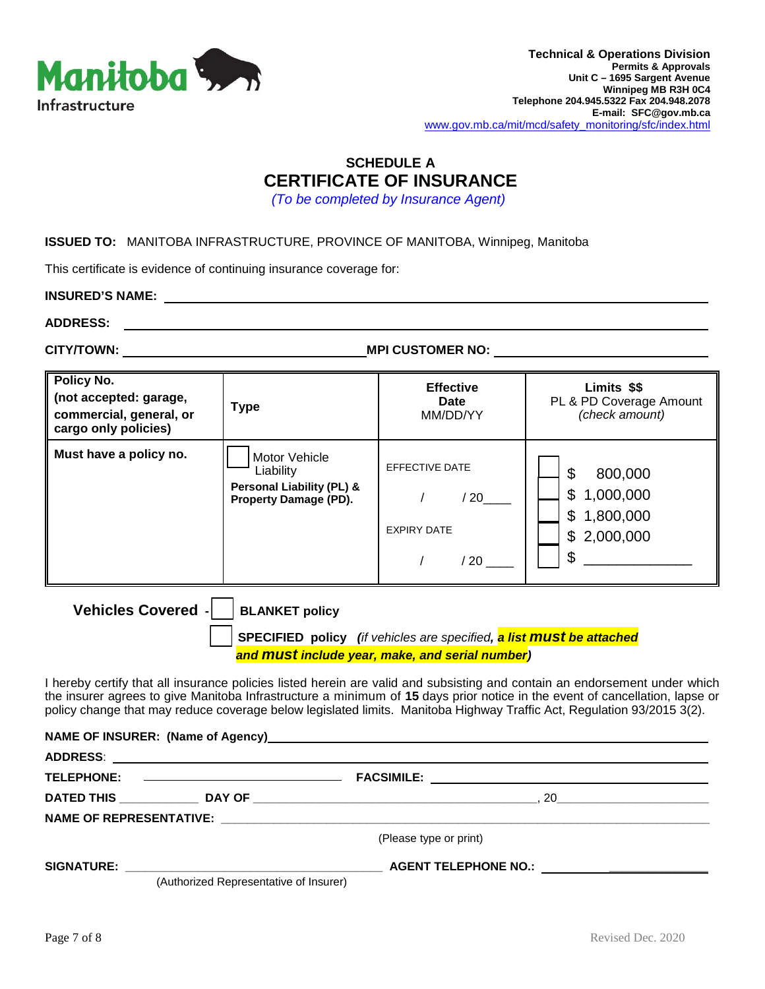

## **SCHEDULE A CERTIFICATE OF INSURANCE**

*(To be completed by Insurance Agent)*

#### **ISSUED TO:** MANITOBA INFRASTRUCTURE, PROVINCE OF MANITOBA, Winnipeg, Manitoba

This certificate is evidence of continuing insurance coverage for:

**INSURED'S NAME:**

**ADDRESS:** 

**CITY/TOWN: MPI CUSTOMER NO:** 

| Policy No.<br>(not accepted: garage,<br>commercial, general, or<br>cargo only policies) | Type                                                                                               | <b>Effective</b><br>Date<br>MM/DD/YY                                            | Limits \$\$<br>PL & PD Coverage Amount<br>(check amount)                     |
|-----------------------------------------------------------------------------------------|----------------------------------------------------------------------------------------------------|---------------------------------------------------------------------------------|------------------------------------------------------------------------------|
| Must have a policy no.                                                                  | Motor Vehicle<br>Liability<br><b>Personal Liability (PL) &amp;</b><br><b>Property Damage (PD).</b> | <b>EFFECTIVE DATE</b><br>$^{\prime}$ 20<br><b>EXPIRY DATE</b><br>$^{\prime}$ 20 | \$<br>800,000<br>\$<br>1,000,000<br>\$<br>1,800,000<br>\$<br>2,000,000<br>\$ |

**Vehicles Covered - | BLANKET policy** 

**NAME OF INSURER: (Name of Agency)**

 **SPECIFIED policy** *(if vehicles are specified, a list must be attached and must include year, make, and serial number)* 

I hereby certify that all insurance policies listed herein are valid and subsisting and contain an endorsement under which the insurer agrees to give Manitoba Infrastructure a minimum of **15** days prior notice in the event of cancellation, lapse or policy change that may reduce coverage below legislated limits. Manitoba Highway Traffic Act, Regulation 93/2015 3(2).

|                                        | <u>INAME OF INJUNCK.</u> (INAME OF AGENCY)                                                                                                                                                                                    |
|----------------------------------------|-------------------------------------------------------------------------------------------------------------------------------------------------------------------------------------------------------------------------------|
|                                        |                                                                                                                                                                                                                               |
|                                        |                                                                                                                                                                                                                               |
|                                        |                                                                                                                                                                                                                               |
|                                        |                                                                                                                                                                                                                               |
|                                        | (Please type or print)                                                                                                                                                                                                        |
|                                        | AGENT TELEPHONE NO.: NOTE: A PARTICLE AND THE SERVICE OF THE SERVICE OF THE SERVICE OF THE SERVICE OF THE SERVICE OF THE SERVICE OF THE SERVICE OF THE SERVICE OF THE SERVICE OF THE SERVICE OF THE SERVICE OF THE SERVICE OF |
| (Authorized Representative of Insurer) |                                                                                                                                                                                                                               |